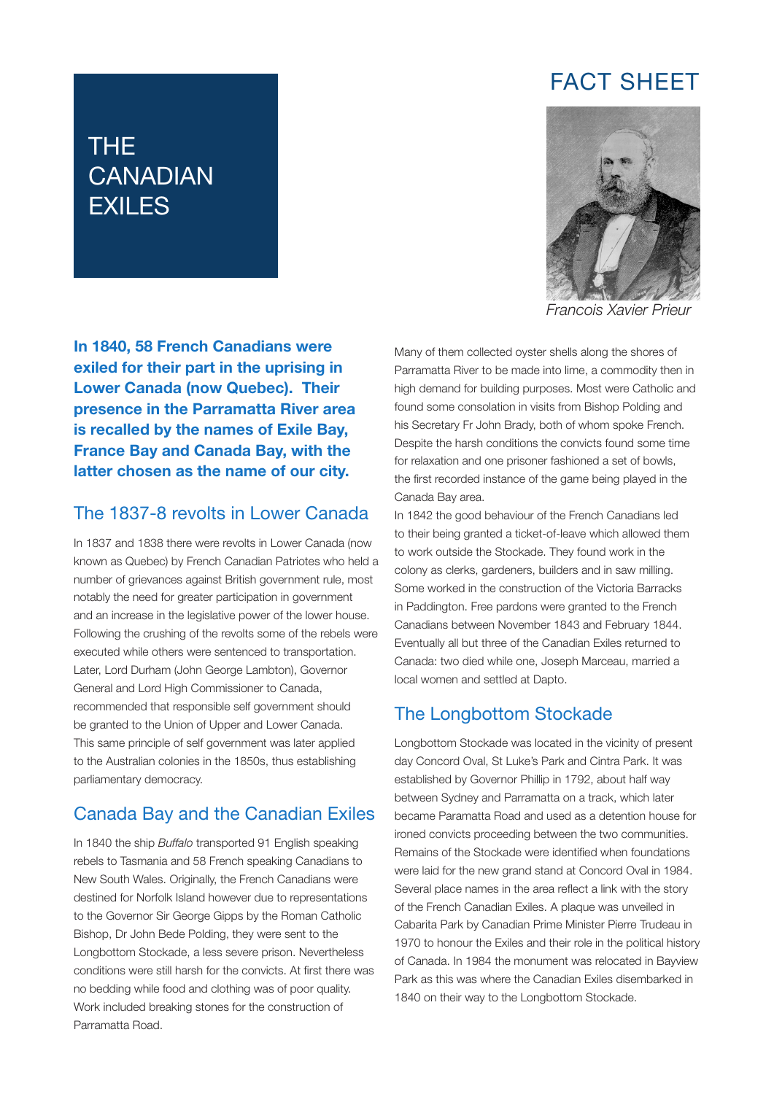# FACT SHEET

# THE **CANADIAN** EXILES



*Francois Xavier Prieur*

In 1840, 58 French Canadians were exiled for their part in the uprising in Lower Canada (now Quebec). Their presence in the Parramatta River area is recalled by the names of Exile Bay, France Bay and Canada Bay, with the latter chosen as the name of our city.

#### The 1837-8 revolts in Lower Canada

In 1837 and 1838 there were revolts in Lower Canada (now known as Quebec) by French Canadian Patriotes who held a number of grievances against British government rule, most notably the need for greater participation in government and an increase in the legislative power of the lower house. Following the crushing of the revolts some of the rebels were executed while others were sentenced to transportation. Later, Lord Durham (John George Lambton), Governor General and Lord High Commissioner to Canada, recommended that responsible self government should be granted to the Union of Upper and Lower Canada. This same principle of self government was later applied to the Australian colonies in the 1850s, thus establishing parliamentary democracy.

## Canada Bay and the Canadian Exiles

In 1840 the ship *Buffalo* transported 91 English speaking rebels to Tasmania and 58 French speaking Canadians to New South Wales. Originally, the French Canadians were destined for Norfolk Island however due to representations to the Governor Sir George Gipps by the Roman Catholic Bishop, Dr John Bede Polding, they were sent to the Longbottom Stockade, a less severe prison. Nevertheless conditions were still harsh for the convicts. At first there was no bedding while food and clothing was of poor quality. Work included breaking stones for the construction of Parramatta Road.

Many of them collected oyster shells along the shores of Parramatta River to be made into lime, a commodity then in high demand for building purposes. Most were Catholic and found some consolation in visits from Bishop Polding and his Secretary Fr John Brady, both of whom spoke French. Despite the harsh conditions the convicts found some time for relaxation and one prisoner fashioned a set of bowls, the first recorded instance of the game being played in the Canada Bay area.

In 1842 the good behaviour of the French Canadians led to their being granted a ticket-of-leave which allowed them to work outside the Stockade. They found work in the colony as clerks, gardeners, builders and in saw milling. Some worked in the construction of the Victoria Barracks in Paddington. Free pardons were granted to the French Canadians between November 1843 and February 1844. Eventually all but three of the Canadian Exiles returned to Canada: two died while one, Joseph Marceau, married a local women and settled at Dapto.

### The Longbottom Stockade

Longbottom Stockade was located in the vicinity of present day Concord Oval, St Luke's Park and Cintra Park. It was established by Governor Phillip in 1792, about half way between Sydney and Parramatta on a track, which later became Paramatta Road and used as a detention house for ironed convicts proceeding between the two communities. Remains of the Stockade were identified when foundations were laid for the new grand stand at Concord Oval in 1984. Several place names in the area reflect a link with the story of the French Canadian Exiles. A plaque was unveiled in Cabarita Park by Canadian Prime Minister Pierre Trudeau in 1970 to honour the Exiles and their role in the political history of Canada. In 1984 the monument was relocated in Bayview Park as this was where the Canadian Exiles disembarked in 1840 on their way to the Longbottom Stockade.